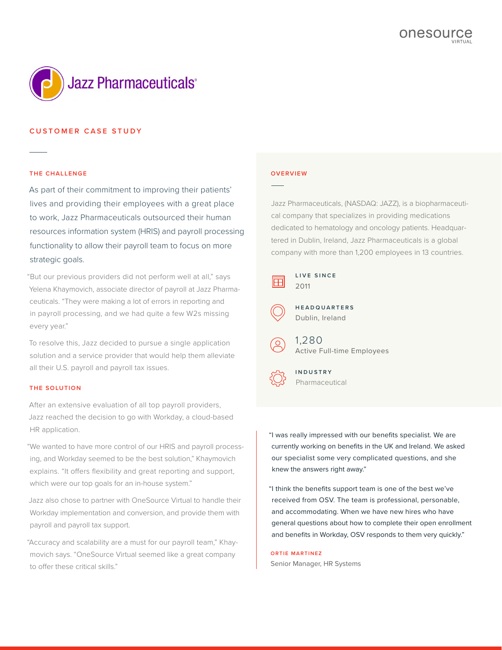

## **CUSTOMER CASE STUDY**

#### **THE CHALLENGE**

As part of their commitment to improving their patients' lives and providing their employees with a great place to work, Jazz Pharmaceuticals outsourced their human resources information system (HRIS) and payroll processing functionality to allow their payroll team to focus on more strategic goals.

"But our previous providers did not perform well at all," says Yelena Khaymovich, associate director of payroll at Jazz Pharmaceuticals. "They were making a lot of errors in reporting and in payroll processing, and we had quite a few W2s missing every year."

To resolve this, Jazz decided to pursue a single application solution and a service provider that would help them alleviate all their U.S. payroll and payroll tax issues.

## **THE SOLUTION**

After an extensive evaluation of all top payroll providers, Jazz reached the decision to go with Workday, a cloud-based HR application.

"We wanted to have more control of our HRIS and payroll processing, and Workday seemed to be the best solution," Khaymovich explains. "It offers flexibility and great reporting and support, which were our top goals for an in-house system."

Jazz also chose to partner with OneSource Virtual to handle their Workday implementation and conversion, and provide them with payroll and payroll tax support.

"Accuracy and scalability are a must for our payroll team," Khaymovich says. "OneSource Virtual seemed like a great company to offer these critical skills."

#### **OVERVIEW**

Jazz Pharmaceuticals, (NASDAQ: JAZZ), is a biopharmaceutical company that specializes in providing medications dedicated to hematology and oncology patients. Headquartered in Dublin, Ireland, Jazz Pharmaceuticals is a global company with more than 1,200 employees in 13 countries.



**L I V E S I N C E**  2011



**H E A D Q U A R T E R S**  Dublin, Ireland



1,280 Active Full-time Employees

**INDUSTRY** Pharmaceutical

"I was really impressed with our benefits specialist. We are currently working on benefits in the UK and Ireland. We asked our specialist some very complicated questions, and she knew the answers right away."

"I think the benefits support team is one of the best we've received from OSV. The team is professional, personable, and accommodating. When we have new hires who have general questions about how to complete their open enrollment and benefits in Workday, OSV responds to them very quickly."

**ORTIE MARTINEZ** Senior Manager, HR Systems